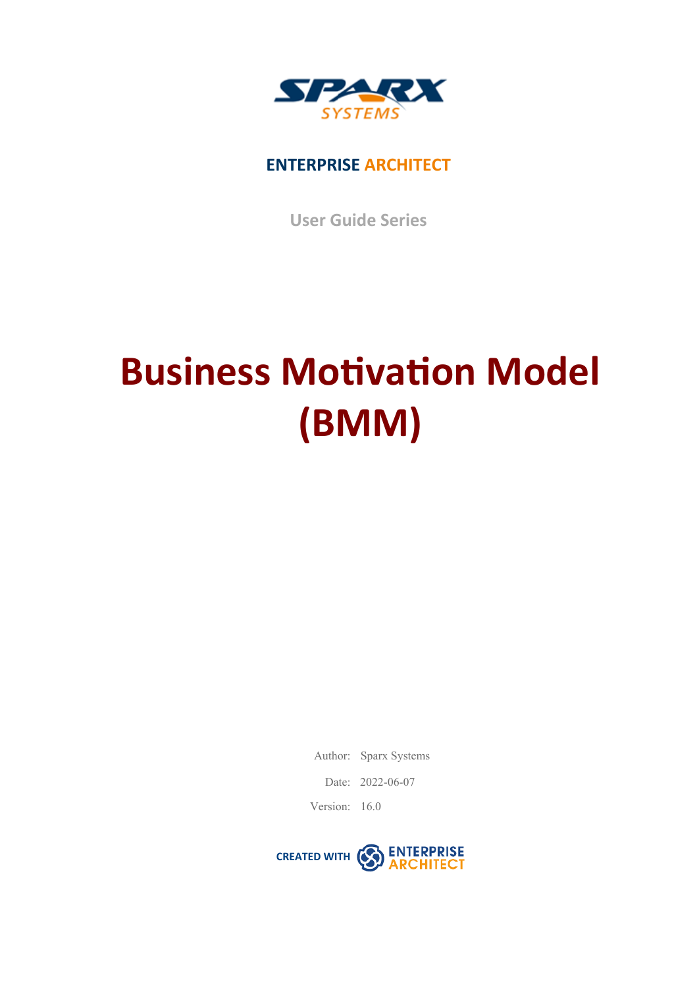

## **ENTERPRISE ARCHITECT**

**User Guide Series**

# **Business Motivation Model (BMM)**

Author: Sparx Systems

Date: 2022-06-07

Version: 16.0

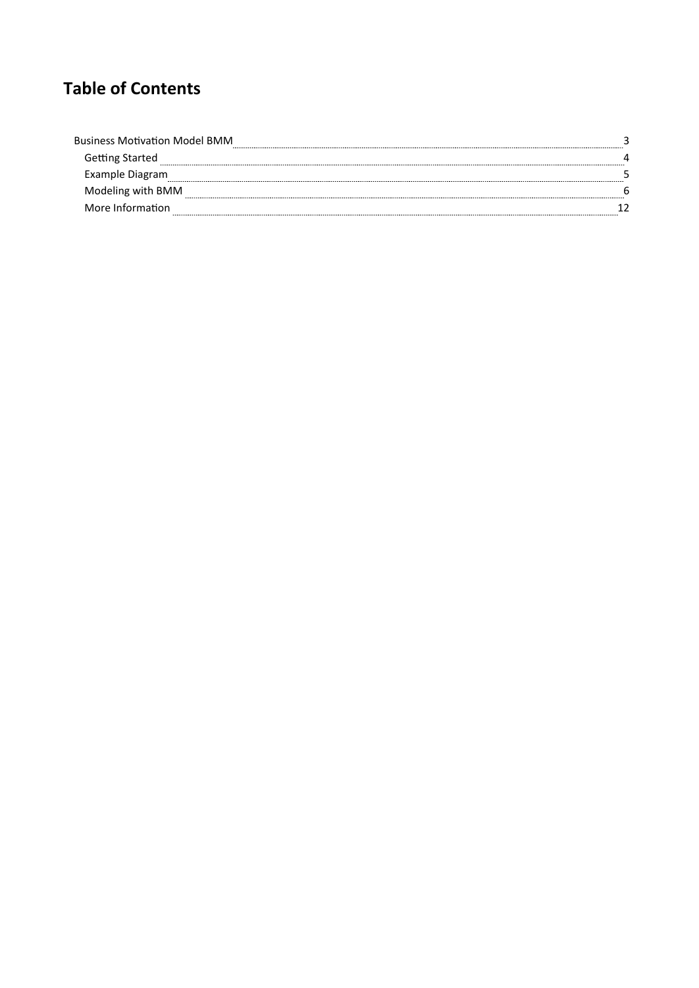## **Table of Contents**

| <b>Business Motivation Model BMM</b>  |  |
|---------------------------------------|--|
| Getting Started<br>------------------ |  |
| Example Diagram                       |  |
| Modeling with BMM                     |  |
| More Information                      |  |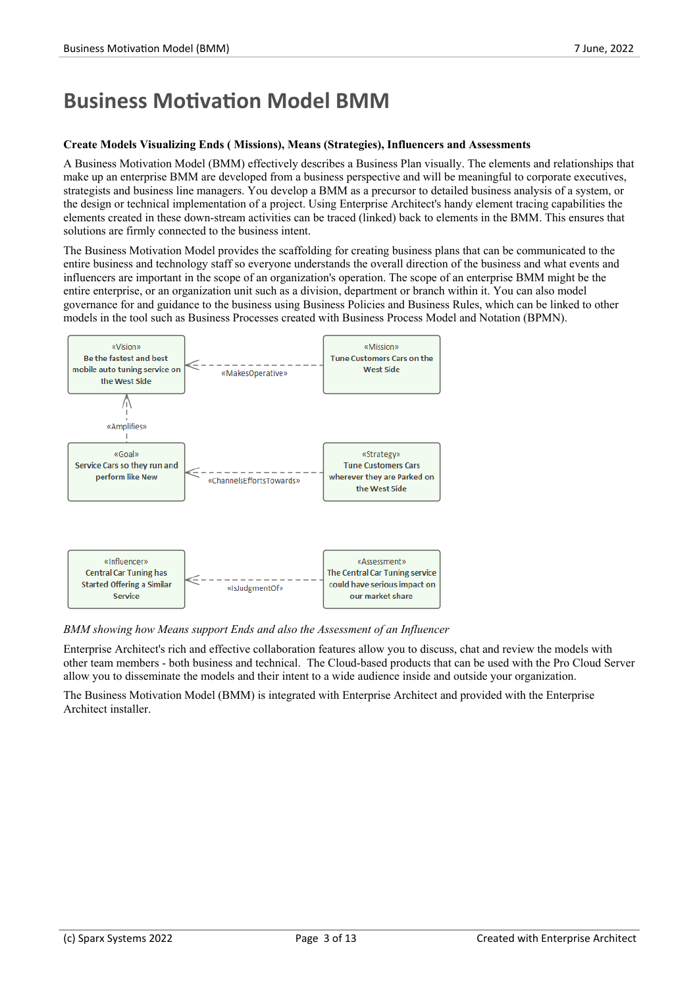# **Business Motivation Model BMM**

#### **Create Models Visualizing Ends ( Missions), Means (Strategies), Influencers and Assessments**

A Business Motivation Model (BMM) effectively describes a Business Plan visually. The elements and relationships that make up an enterprise BMM are developed from a business perspective and will be meaningful to corporate executives, strategists and business line managers. You develop a BMM as a precursor to detailed business analysis of a system, or the design or technical implementation of a project. Using Enterprise Architect's handy element tracing capabilities the elements created in these down-stream activities can be traced (linked) back to elements in the BMM. This ensures that solutions are firmly connected to the business intent.

The Business Motivation Model provides the scaffolding for creating business plans that can be communicated to the entire business and technology staff so everyone understands the overall direction of the business and what events and influencers are important in the scope of an organization's operation. The scope of an enterprise BMM might be the entire enterprise, or an organization unit such as a division, department or branch within it. You can also model governance for and guidance to the business using Business Policies and Business Rules, which can be linked to other models in the tool such as Business Processes created with Business Process Model and Notation (BPMN).



*BMM showing how Meanssupport Ends and also the Assessment of an Influencer*

Enterprise Architect's rich and effective collaboration features allow you to discuss, chat and review the models with other team members - both business and technical. The Cloud-based products that can be used with the Pro Cloud Server allow you to disseminate the models and their intent to a wide audience inside and outside your organization.

The Business Motivation Model (BMM) is integrated with Enterprise Architect and provided with the Enterprise Architect installer.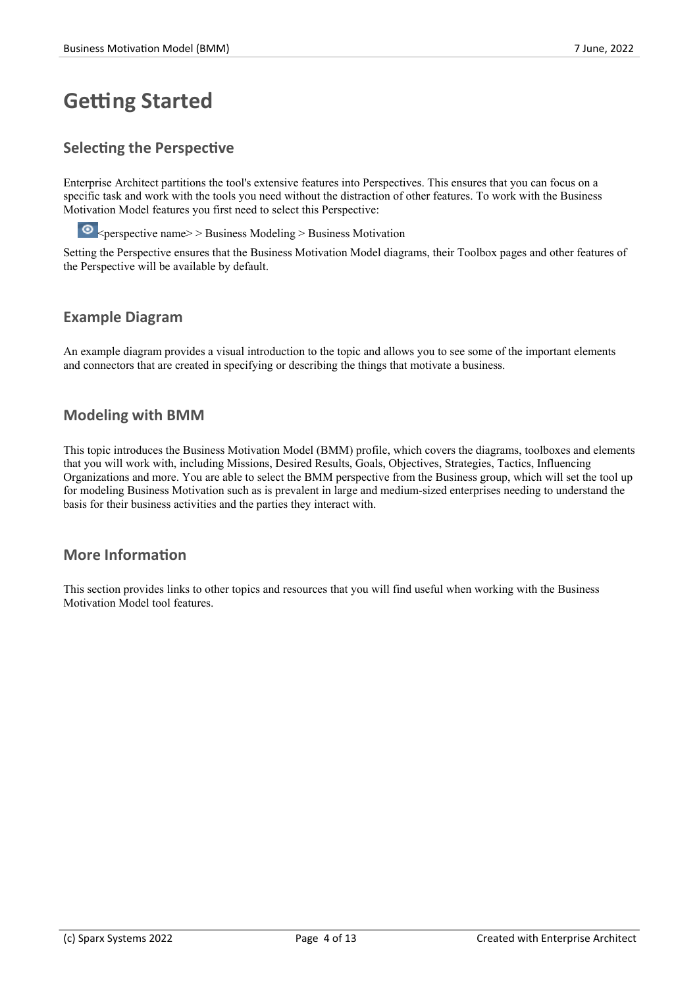# **Getting Started**

#### **Selecting the Perspective**

Enterprise Architect partitions the tool's extensive features into Perspectives. This ensures that you can focus on a specific task and work with the tools you need without the distraction of other features. To work with the Business Motivation Model features you first need to select this Perspective:

 $\bullet$  <perspective name> > Business Modeling > Business Motivation

Setting the Perspective ensures that the Business Motivation Model diagrams, their Toolbox pages and other features of the Perspective will be available by default.

#### **Example Diagram**

An example diagram provides a visual introduction to the topic and allows you to see some of the important elements and connectors that are created in specifying or describing the things that motivate a business.

#### **Modeling with BMM**

This topic introduces the Business Motivation Model (BMM) profile, which covers the diagrams, toolboxes and elements that you will work with, including Missions, Desired Results, Goals, Objectives, Strategies, Tactics, Influencing Organizations and more. You are able to select the BMM perspective from the Business group, which will set the tool up for modeling Business Motivation such as is prevalent in large and medium-sized enterprises needing to understand the basis for their business activities and the parties they interact with.

#### **More Information**

This section provides links to other topics and resources that you will find useful when working with the Business Motivation Model tool features.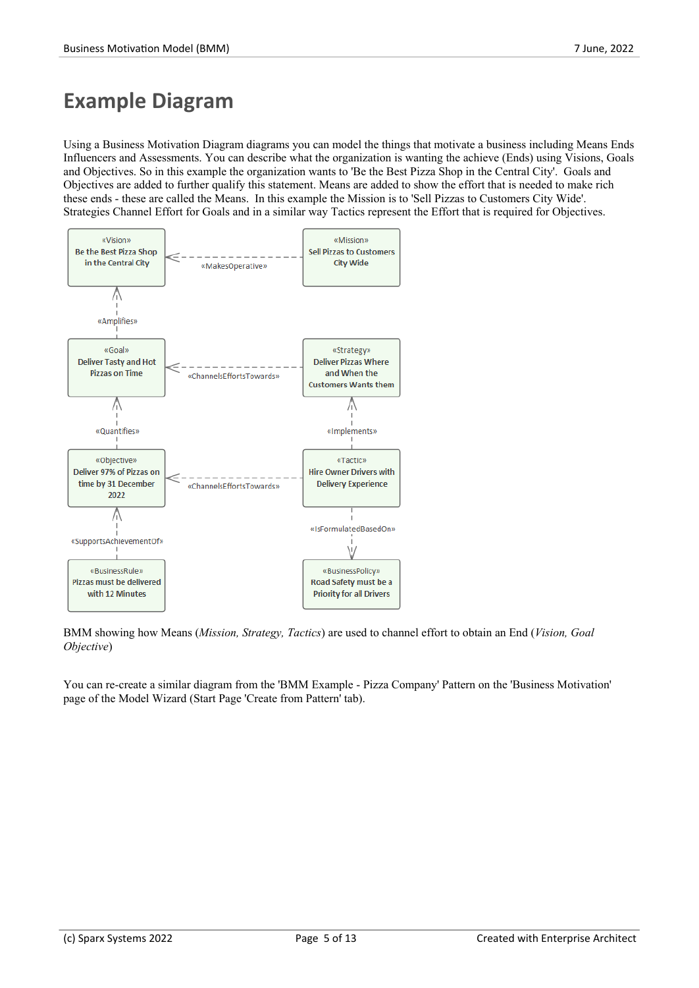## **Example Diagram**

Using a Business Motivation Diagram diagrams you can model the things that motivate a business including Means Ends Influencers and Assessments. You can describe what the organization is wanting the achieve (Ends) using Visions, Goals and Objectives. So in this example the organization wants to 'Be the Best Pizza Shop in the Central City'. Goals and Objectives are added to further qualify this statement. Means are added to show the effort that is needed to make rich these ends - these are called the Means. In this example the Mission is to 'Sell Pizzas to Customers City Wide'. Strategies Channel Effort for Goals and in a similar way Tactics represent the Effort that is required for Objectives.



BMM showing how Means (*Mission, Strategy, Tactics*) are used to channel effort to obtain an End (*Vision, Goal Objective*)

You can re-create a similar diagram from the 'BMM Example - Pizza Company' Pattern on the 'Business Motivation' page of the Model Wizard (Start Page 'Create from Pattern' tab).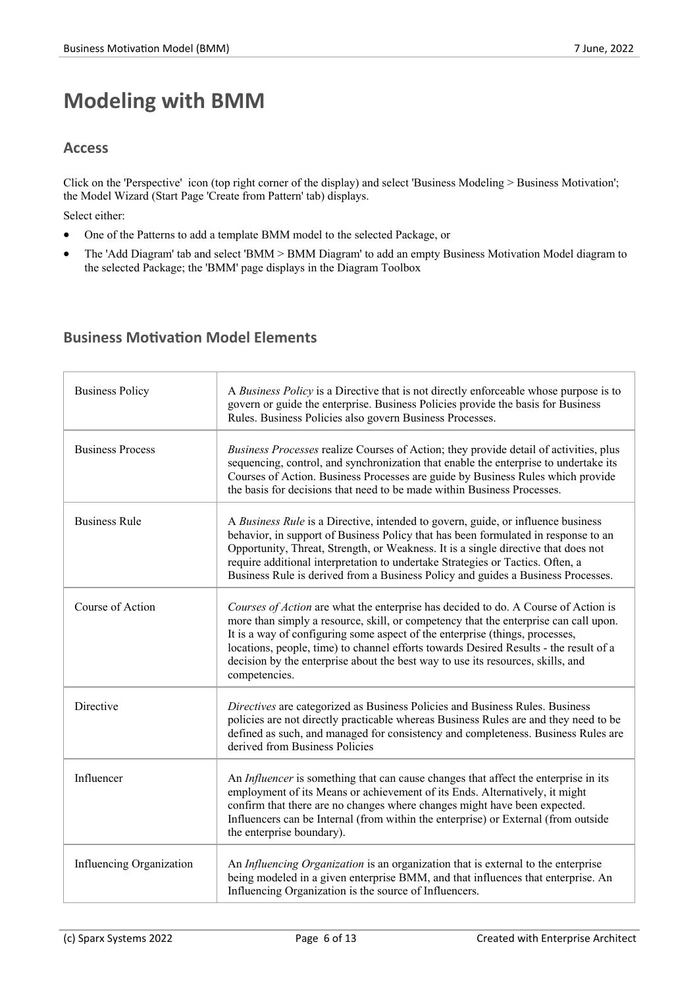# **Modeling with BMM**

#### **Access**

Click on the 'Perspective' icon (top right corner of the display) and select 'Business Modeling > Business Motivation'; the Model Wizard (Start Page 'Create from Pattern' tab) displays.

Select either:

- · One of the Patterns to add a template BMM model to the selected Package, or
- The 'Add Diagram' tab and select 'BMM > BMM Diagram' to add an empty Business Motivation Model diagram to the selected Package; the 'BMM' page displays in the Diagram Toolbox

## **Business Motivation Model Elements**

| <b>Business Policy</b>   | A Business Policy is a Directive that is not directly enforceable whose purpose is to<br>govern or guide the enterprise. Business Policies provide the basis for Business<br>Rules. Business Policies also govern Business Processes.                                                                                                                                                                                                                   |
|--------------------------|---------------------------------------------------------------------------------------------------------------------------------------------------------------------------------------------------------------------------------------------------------------------------------------------------------------------------------------------------------------------------------------------------------------------------------------------------------|
| <b>Business Process</b>  | Business Processes realize Courses of Action; they provide detail of activities, plus<br>sequencing, control, and synchronization that enable the enterprise to undertake its<br>Courses of Action. Business Processes are guide by Business Rules which provide<br>the basis for decisions that need to be made within Business Processes.                                                                                                             |
| <b>Business Rule</b>     | A Business Rule is a Directive, intended to govern, guide, or influence business<br>behavior, in support of Business Policy that has been formulated in response to an<br>Opportunity, Threat, Strength, or Weakness. It is a single directive that does not<br>require additional interpretation to undertake Strategies or Tactics. Often, a<br>Business Rule is derived from a Business Policy and guides a Business Processes.                      |
| Course of Action         | Courses of Action are what the enterprise has decided to do. A Course of Action is<br>more than simply a resource, skill, or competency that the enterprise can call upon.<br>It is a way of configuring some aspect of the enterprise (things, processes,<br>locations, people, time) to channel efforts towards Desired Results - the result of a<br>decision by the enterprise about the best way to use its resources, skills, and<br>competencies. |
| Directive                | Directives are categorized as Business Policies and Business Rules. Business<br>policies are not directly practicable whereas Business Rules are and they need to be<br>defined as such, and managed for consistency and completeness. Business Rules are<br>derived from Business Policies                                                                                                                                                             |
| Influencer               | An Influencer is something that can cause changes that affect the enterprise in its<br>employment of its Means or achievement of its Ends. Alternatively, it might<br>confirm that there are no changes where changes might have been expected.<br>Influencers can be Internal (from within the enterprise) or External (from outside<br>the enterprise boundary).                                                                                      |
| Influencing Organization | An Influencing Organization is an organization that is external to the enterprise<br>being modeled in a given enterprise BMM, and that influences that enterprise. An<br>Influencing Organization is the source of Influencers.                                                                                                                                                                                                                         |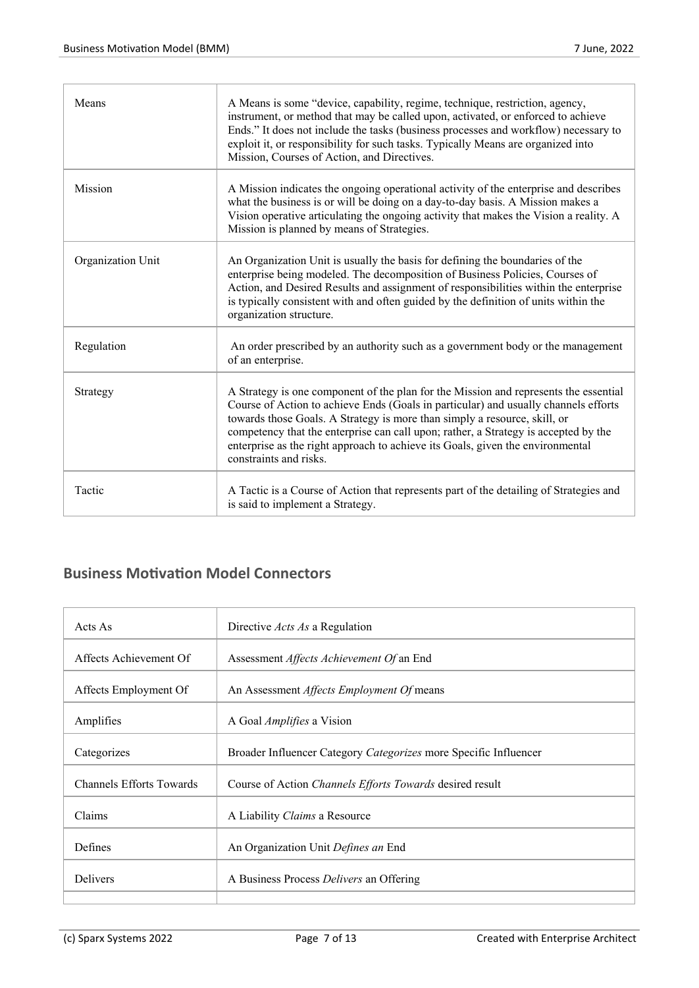| Means             | A Means is some "device, capability, regime, technique, restriction, agency,<br>instrument, or method that may be called upon, activated, or enforced to achieve<br>Ends." It does not include the tasks (business processes and workflow) necessary to<br>exploit it, or responsibility for such tasks. Typically Means are organized into<br>Mission, Courses of Action, and Directives.                                                                  |
|-------------------|-------------------------------------------------------------------------------------------------------------------------------------------------------------------------------------------------------------------------------------------------------------------------------------------------------------------------------------------------------------------------------------------------------------------------------------------------------------|
| <b>Mission</b>    | A Mission indicates the ongoing operational activity of the enterprise and describes<br>what the business is or will be doing on a day-to-day basis. A Mission makes a<br>Vision operative articulating the ongoing activity that makes the Vision a reality. A<br>Mission is planned by means of Strategies.                                                                                                                                               |
| Organization Unit | An Organization Unit is usually the basis for defining the boundaries of the<br>enterprise being modeled. The decomposition of Business Policies, Courses of<br>Action, and Desired Results and assignment of responsibilities within the enterprise<br>is typically consistent with and often guided by the definition of units within the<br>organization structure.                                                                                      |
| Regulation        | An order prescribed by an authority such as a government body or the management<br>of an enterprise.                                                                                                                                                                                                                                                                                                                                                        |
| Strategy          | A Strategy is one component of the plan for the Mission and represents the essential<br>Course of Action to achieve Ends (Goals in particular) and usually channels efforts<br>towards those Goals. A Strategy is more than simply a resource, skill, or<br>competency that the enterprise can call upon; rather, a Strategy is accepted by the<br>enterprise as the right approach to achieve its Goals, given the environmental<br>constraints and risks. |
| Tactic            | A Tactic is a Course of Action that represents part of the detailing of Strategies and<br>is said to implement a Strategy.                                                                                                                                                                                                                                                                                                                                  |

## **Business Motivation Model Connectors**

| Acts As                         | Directive <i>Acts As</i> a Regulation                            |
|---------------------------------|------------------------------------------------------------------|
| Affects Achievement Of          | Assessment <i>Affects Achievement Of</i> an End                  |
| Affects Employment Of           | An Assessment Affects Employment Of means                        |
| Amplifies                       | A Goal <i>Amplifies</i> a Vision                                 |
| Categorizes                     | Broader Influencer Category Categorizes more Specific Influencer |
| <b>Channels Efforts Towards</b> | Course of Action Channels Efforts Towards desired result         |
| Claims                          | A Liability Claims a Resource                                    |
| <b>Defines</b>                  | An Organization Unit Defines an End                              |
| <b>Delivers</b>                 | A Business Process <i>Delivers</i> an Offering                   |
|                                 |                                                                  |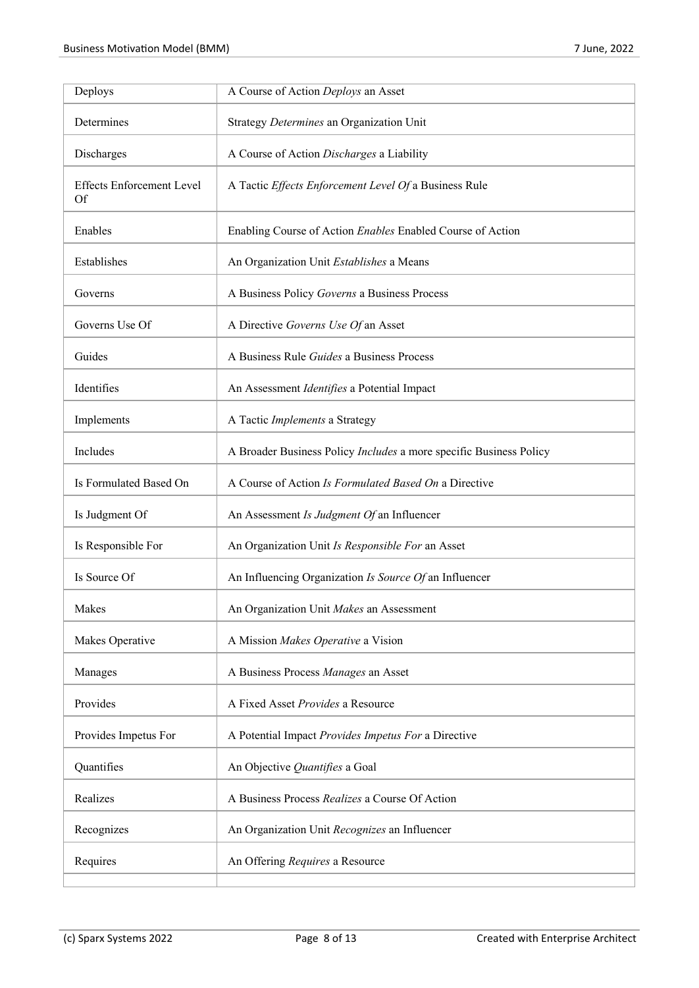| Deploys                                       | A Course of Action Deploys an Asset                                |
|-----------------------------------------------|--------------------------------------------------------------------|
| Determines                                    | Strategy Determines an Organization Unit                           |
| Discharges                                    | A Course of Action Discharges a Liability                          |
| <b>Effects Enforcement Level</b><br><b>Of</b> | A Tactic Effects Enforcement Level Of a Business Rule              |
| Enables                                       | Enabling Course of Action Enables Enabled Course of Action         |
| Establishes                                   | An Organization Unit Establishes a Means                           |
| Governs                                       | A Business Policy Governs a Business Process                       |
| Governs Use Of                                | A Directive Governs Use Of an Asset                                |
| Guides                                        | A Business Rule Guides a Business Process                          |
| Identifies                                    | An Assessment Identifies a Potential Impact                        |
| Implements                                    | A Tactic Implements a Strategy                                     |
| Includes                                      | A Broader Business Policy Includes a more specific Business Policy |
| Is Formulated Based On                        | A Course of Action Is Formulated Based On a Directive              |
| Is Judgment Of                                | An Assessment Is Judgment Of an Influencer                         |
| Is Responsible For                            | An Organization Unit Is Responsible For an Asset                   |
| Is Source Of                                  | An Influencing Organization Is Source Of an Influencer             |
| Makes                                         | An Organization Unit Makes an Assessment                           |
| Makes Operative                               | A Mission Makes Operative a Vision                                 |
| Manages                                       | A Business Process Manages an Asset                                |
| Provides                                      | A Fixed Asset Provides a Resource                                  |
| Provides Impetus For                          | A Potential Impact Provides Impetus For a Directive                |
| Quantifies                                    | An Objective Quantifies a Goal                                     |
| Realizes                                      | A Business Process Realizes a Course Of Action                     |
| Recognizes                                    | An Organization Unit Recognizes an Influencer                      |
| Requires                                      | An Offering Requires a Resource                                    |
|                                               |                                                                    |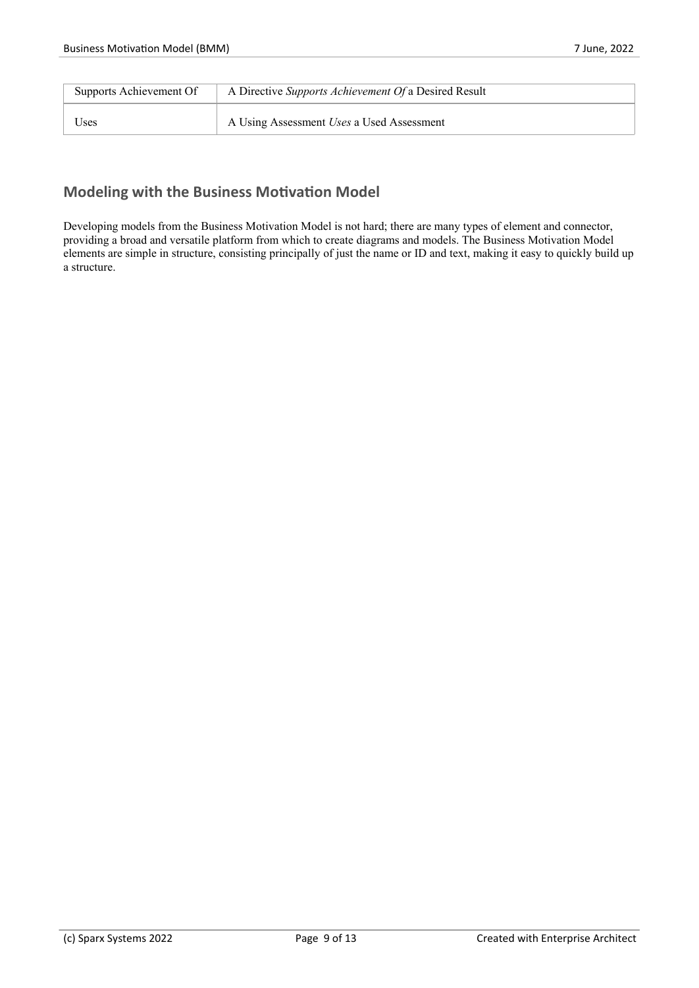| Supports Achievement Of | A Directive Supports Achievement Of a Desired Result |
|-------------------------|------------------------------------------------------|
| Uses                    | A Using Assessment Uses a Used Assessment            |

### **Modeling with the Business Motivation Model**

Developing models from the Business Motivation Model is not hard; there are many types of element and connector, providing a broad and versatile platform from which to create diagrams and models. The Business Motivation Model elements are simple in structure, consisting principally of just the name or ID and text, making it easy to quickly build up a structure.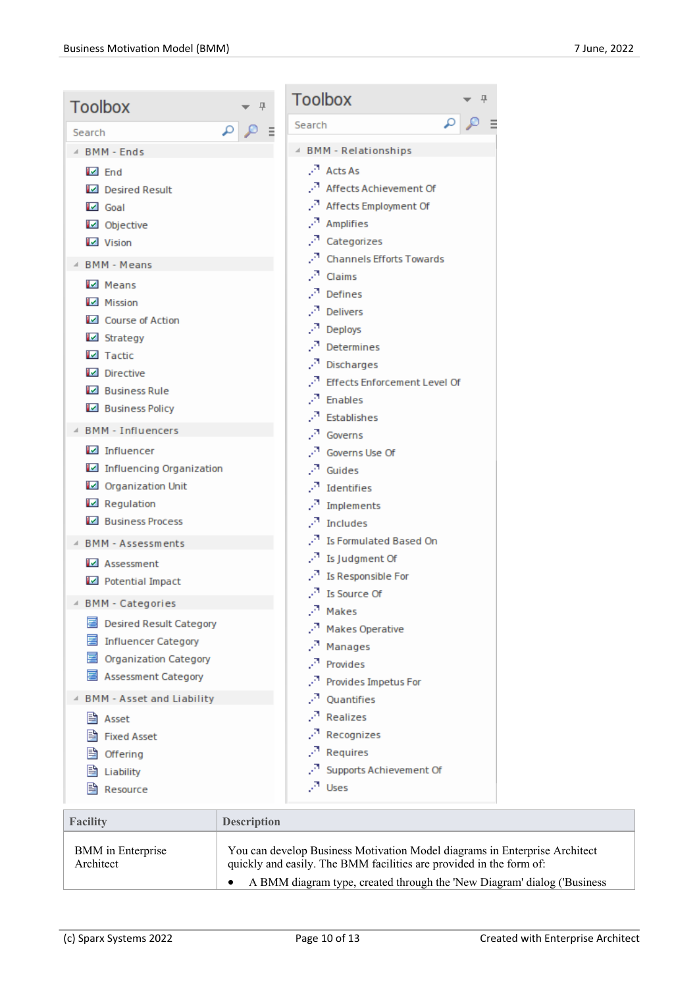| <b>Toolbox</b><br>具                 | <b>Toolbox</b><br>л                      |
|-------------------------------------|------------------------------------------|
| $\mathfrak{a}$<br>Search            | Search                                   |
| △ BMM - Ends                        | 4 BMM - Relationships                    |
| $\boxtimes$ End                     | $\cdot$ <sup>7</sup> Acts As             |
| Desired Result                      | Affects Achievement Of                   |
| $\blacksquare$ Goal                 | Affects Employment Of                    |
| Objective                           | Æ.<br>Amplifies                          |
| <b>M</b> Vision                     | Categorizes                              |
| <b>BMM - Means</b>                  | <b>Channels Efforts Towards</b>          |
| Means                               | $\cdot$ <sup>3</sup> Claims              |
| Mission                             | $\cdot^{\pi}$ Defines                    |
| Course of Action                    | уA,<br><b>Delivers</b>                   |
| <b>Z</b> Strategy                   | л.<br>Deploys                            |
| $\blacksquare$ Tactic               | Determines<br>P.                         |
| Directive                           | P.<br>Discharges                         |
| <b>E</b> Business Rule              | <b>Effects Enforcement Level Of</b><br>Æ |
| <b>Business Policy</b>              | л<br>Enables                             |
| <b>BMM - Influencers</b>            | Establishes                              |
| $\blacksquare$ Influencer           | A<br>Governs<br>Governs Use Of<br>79     |
| Influencing Organization            | л<br>Guides                              |
| Organization Unit                   | P.<br>Identifies                         |
| $\blacksquare$ Regulation           | л<br>Implements                          |
| <b>Existences</b> Process           | A<br>Includes                            |
| <b>BMM - Assessments</b>            | Is Formulated Based On                   |
| Assessment                          | $\cdot$ <sup>3</sup> Is Judgment Of      |
| Potential Impact                    | $\cdot^\pi$ Is Responsible For           |
|                                     | $\cdot^{\overline{a}}$ Is Source Of      |
| 4 BMM - Categories                  | $\sqrt{ }$ Makes                         |
| 圉<br><b>Desired Result Category</b> | УP.<br><b>Makes Operative</b>            |
| 틈<br><b>Influencer Category</b>     | A<br>Manages                             |
| Organization Category               | P.<br>Provides                           |
| <b>Assessment Category</b>          | P.<br>Provides Impetus For               |
| <b>BMM - Asset and Liability</b>    | а,<br>Quantifies                         |
| B<br>Asset                          | A<br>Realizes                            |
| <b>Fixed Asset</b>                  | g.<br>Recognizes                         |
| Offering                            | л<br>Requires                            |
| Liability                           | Supports Achievement Of<br>УP.           |
| Resource                            | $\sqrt{1}$ Uses                          |
|                                     |                                          |

| Facility                              | <b>Description</b>                                                                                                                                |
|---------------------------------------|---------------------------------------------------------------------------------------------------------------------------------------------------|
| <b>BMM</b> in Enterprise<br>Architect | You can develop Business Motivation Model diagrams in Enterprise Architect<br>quickly and easily. The BMM facilities are provided in the form of: |
|                                       | A BMM diagram type, created through the 'New Diagram' dialog ('Business                                                                           |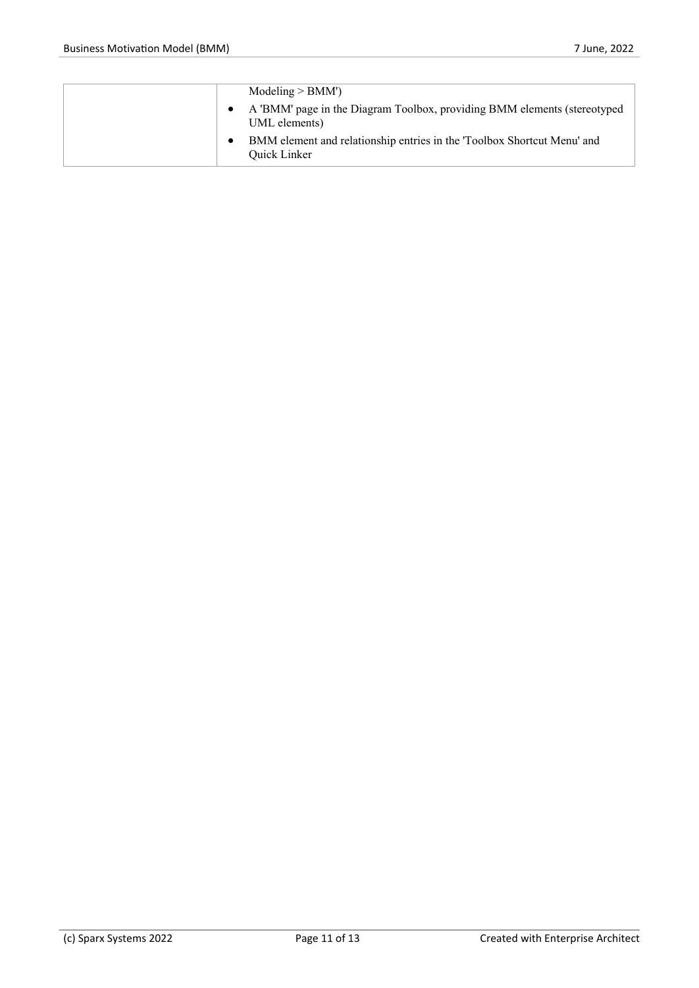|  | Modeling > BMM'                                                                                |
|--|------------------------------------------------------------------------------------------------|
|  | A 'BMM' page in the Diagram Toolbox, providing BMM elements (stereotyped<br>UML elements)      |
|  | BMM element and relationship entries in the 'Toolbox Shortcut Menu' and<br><b>Ouick Linker</b> |